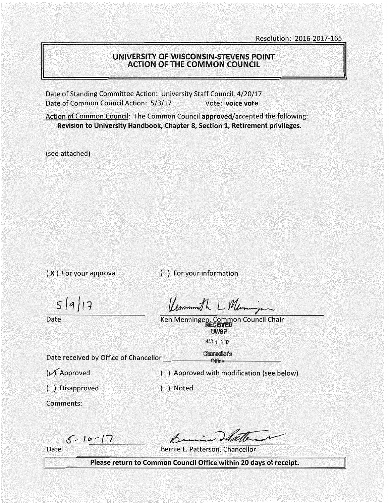## UNIVERSITY OF WISCONSIN-STEVENS POINT ACTION OF THE COMMON COUNCIL

Date of Standing Committee Action: University Staff Council, 4/20/17 Date of Common Council Action: 5/3/17 Vote: **voice vote** 

Action of Common Council: The Common Council approved/accepted the following: **Revision to University Handbook, Chapter 8, Section 1, Retirement privileges.** 

(see attached)

( **X** } For your approval

( ) For your information

 $5|9|17$ 

**Date** 

Kemmonth L Memmings

Ken Menningen, Common Council Chair UWSP MAY 1 0 17

Date received by Office of Chancellor \_\_\_\_\_ c\_hanoolloAl")ffilfflee-(-s \_\_\_\_ \_

(v( Approved

( ) Disapproved

( ) Approved with modification (see below)

( ) Noted

Comments:

 $5 - 10 - 17$ 

Date

Bernie L. Patterson, Chancellor

**Please return to Common Council Office within 20 days of receipt.**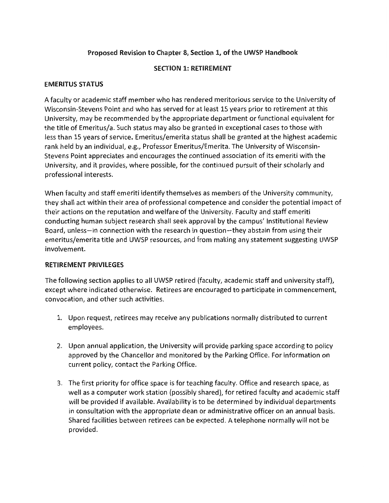## Proposed Revision to Chapter 8, Section 1, of the UWSP Handbook

## SECTION 1: RETIREMENT

#### **EMERITUS STATUS**

A faculty or academic staff member who has rendered meritorious service to the University of Wisconsin-Stevens Point and who has served for at least 15 years prior to retirement at this University, may be recommended by the appropriate department or functional equivalent for the title of Emeritus/a. Such status may also be granted in exceptional cases to those with less than 15 years of service. Emeritus/emerita status shall be granted at the highest academic rank held by an individual, e.g., Professor Emeritus/Emerita. The University of Wisconsin-Stevens Point appreciates and encourages the continued association of its emeriti with the University, and it provides, where possible, for the continued pursuit of their scholarly and professional interests.

When faculty and staff emeriti identify themselves as members of the University community, they shall act within their area of professional competence and consider the potential impact of their actions on the reputation and welfare of the University. Faculty and staff emeriti conducting human subject research shall seek approval by the campus' Institutional Review Board, unless-in connection with the research in question-they abstain from using their emeritus/emerita title and UWSP resources, and from making any statement suggesting UWSP involvement.

## **RETIREMENT PRIVILEGES**

The following section applies to all UWSP retired (faculty, academic staff and university staff}, except where indicated otherwise. Retirees are encouraged to participate in commencement, convocation, and other such activities.

- 1. Upon request, retirees may receive any publications normally distributed to current employees.
- 2. Upon annual application, the University will provide parking space according to policy approved by the Chancellor and monitored by the Parking Office. For information on current policy, contact the Parking Office.
- 3. The first priority for office space is for teaching faculty. Office and research space, as well as a computer work station (possibly shared), for retired faculty and academic staff will be provided if available. Availability is to be determined by individual departments in consultation with the appropriate dean or administrative officer on an annual basis. Shared facilities between retirees can be expected. A telephone normally will not be provided.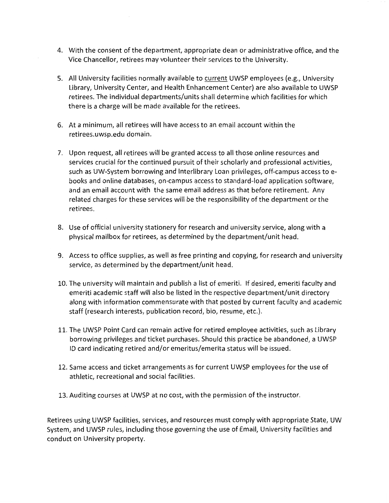- 4. With the consent of the department, appropriate dean or administrative office, and the Vice Chancellor, retirees may volunteer their services to the University.
- 5. All University facilities normally available to current UWSP employees (e.g., University Library, University Center, and Health Enhancement Center) are also available to UWSP retirees. The individual departments/units shall determine which facilities for which there is a charge will be made available for the retirees.
- 6. At a minimum, all retirees will have access to an email account within the retirees.uwsp.edu domain.
- 7. Upon request, all retirees will be granted access to all those online resources and services crucial for the continued pursuit of their scholarly and professional activities, such as UW-System borrowing and Interlibrary Loan privileges, off-campus access toebooks and online databases, on-campus access to standard-load application software, and an email account with the same email address as that before retirement. Any related charges for these services will be the responsibility of the department or the retirees.
- 8. Use of official university stationery for research and university service, along with a physical mailbox for retirees, as determined by the department/unit head.
- 9. Access to office supplies, as well as free printing and copying, for research and university service, as determined by the department/unit head.
- 10. The university will maintain and publish a list of emeriti. If desired, emeriti faculty and emeriti academic staff will also be listed in the respective department/unit directory along with information commensurate with that posted by current faculty and academic staff (research interests, publication record, bio, resume, etc.).
- 11. The UWSP Point Card can remain active for retired employee activities, such as Library borrowing privileges and ticket purchases. Should this practice be abandoned, a UWSP ID card indicating retired and/or emeritus/emerita status will be issued.
- 12. Same access and ticket arrangements as for current UWSP employees for the use of athletic, recreational and social facilities.
- 13. Auditing courses at UWSP at no cost, with the permission of the instructor.

Retirees using UWSP facilities, services, and resources must comply with appropriate State, UW System, and UWSP rules, including those governing the use of Email, University facilities and conduct on University property.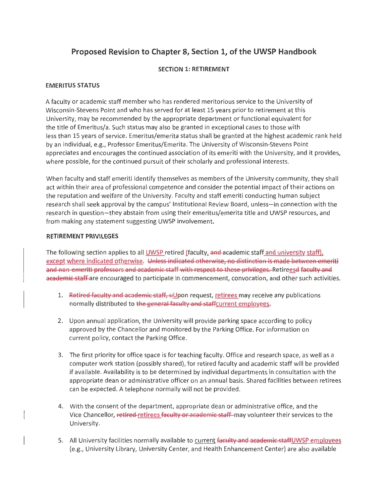# **Proposed Revision to Chapter 8, Section 1, of the UWSP Handbook**

#### **SECTION 1: RETIREMENT**

#### **EMERITUS STATUS**

A faculty or academic staff member who has rendered meritorious service to the University of Wisconsin-Stevens Point and who has served for at least 15 years prior to retirement at this University, may be recommended by the appropriate department or functional equivalent for the title of Emeritus/a. Such status may also be granted in exceptional cases to those with less than 15 years of service. Emeritus/emerita status shall be granted at the highest academic rank held by an individual, e.g., Professor Emeritus/Emerita. The University of Wisconsin-Stevens Point appreciates and encourages the continued association of its emeriti with the University, and it provides, where possible, for the continued pursuit of their scholarly and professional interests.

When faculty and staff emeriti identify themselves as members of the University community, they shall act within their area of professional competence and consider the potential impact of their actions on the reputation and welfare of the University. Faculty and staff emeriti conducting human subject research shall seek approval by the campus' Institutional Review Board, unless-in connection with the research in question-they abstain from using their emeritus/emerita title and UWSP resources, and from making any statement suggesting UWSP involvement.

#### **RETIREMENT PRIVILEGES**

The following section applies to all UWSP retired (faculty, and academic staff and university staff), except where indicated otherwise. Unless indicated othenvise, no distinction is made between emeriti and non-emeriti professors and academic staff with respect to these privileges. Retireesd faculty and academic staff are encouraged to participate in commencement, convocation, and other such activities.

- 1. Retired faculty and academic staff, uUpon request, retirees may receive any publications normally distributed to the general faculty and staffcurrent employees.
- 2. Upon annual application, the University will provide parking space according to policy approved by the Chancellor and monitored by the Parking Office. For information on current policy, contact the Parking Office.
- 3. The first priority for office space is for teaching faculty. Office and research space, as well as a computer work station (possibly shared), for retired faculty and academic staff will be provided if available. Availability is to be determined by individual departments in consultation with the appropriate dean or administrative officer on an annual basis. Shared facilities between retirees can be expected. A telephone normally will not be provided.
- 4. With the consent of the department, appropriate dean or administrative office, and the Vice Chancellor, retired retirees faculty or academic staff may volunteer their services to the University.
- 5. All University facilities normally available to current faculty and academic staffUWSP employees (e.g., University Library, University Center, and Health Enhancement Center) are also available